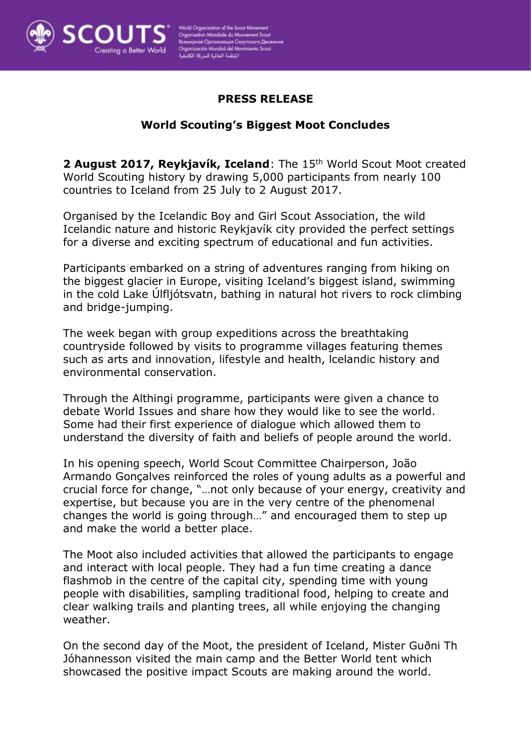

# **PRESS RELEASE**

## **World Scouting's Biggest Moot Concludes**

**2 August 2017, Reykjavík, Iceland**: The 15th World Scout Moot created World Scouting history by drawing 5,000 participants from nearly 100 countries to Iceland from 25 July to 2 August 2017.

Organised by the Icelandic Boy and Girl Scout Association, the wild Icelandic nature and historic Reykjavík city provided the perfect settings for a diverse and exciting spectrum of educational and fun activities.

Participants embarked on a string of adventures ranging from hiking on the biggest glacier in Europe, visiting Iceland's biggest island, swimming in the cold Lake Úlfljótsvatn, bathing in natural hot rivers to rock climbing and bridge-jumping.

The week began with group expeditions across the breathtaking countryside followed by visits to programme villages featuring themes such as arts and innovation, lifestyle and health, lcelandic history and environmental conservation.

Through the Althingi programme, participants were given a chance to debate World Issues and share how they would like to see the world. Some had their first experience of dialogue which allowed them to understand the diversity of faith and beliefs of people around the world.

In his opening speech, World Scout Committee Chairperson, João Armando Gonçalves reinforced the roles of young adults as a powerful and crucial force for change, "…not only because of your energy, creativity and expertise, but because you are in the very centre of the phenomenal changes the world is going through…" and encouraged them to step up and make the world a better place.

The Moot also included activities that allowed the participants to engage and interact with local people. They had a fun time creating a dance flashmob in the centre of the capital city, spending time with young people with disabilities, sampling traditional food, helping to create and clear walking trails and planting trees, all while enjoying the changing weather.

On the second day of the Moot, the president of Iceland, Mister Guðni Th Jóhannesson visited the main camp and the Better World tent which showcased the positive impact Scouts are making around the world.